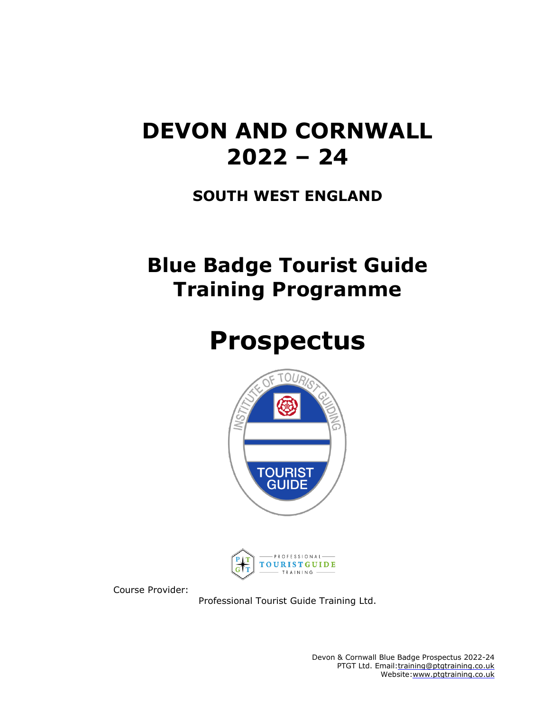## **DEVON AND CORNWALL 2022 – 24**

### **SOUTH WEST ENGLAND**

## **Blue Badge Tourist Guide Training Programme**

# **Prospectus**





Course Provider:

Professional Tourist Guide Training Ltd.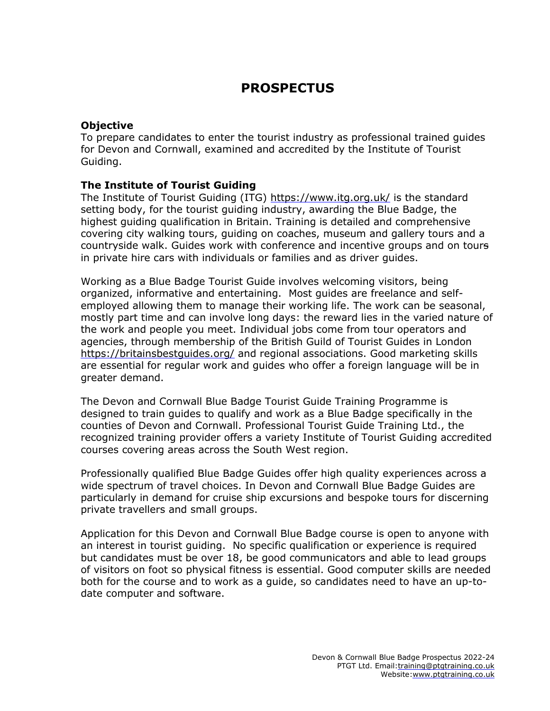### **PROSPECTUS**

#### **Objective**

To prepare candidates to enter the tourist industry as professional trained guides for Devon and Cornwall, examined and accredited by the Institute of Tourist Guiding.

#### **The Institute of Tourist Guiding**

The Institute of Tourist Guiding (ITG) <https://www.itg.org.uk/> is the standard setting body, for the tourist guiding industry, awarding the Blue Badge, the highest guiding qualification in Britain. Training is detailed and comprehensive covering city walking tours, guiding on coaches, museum and gallery tours and a countryside walk. Guides work with conference and incentive groups and on tours in private hire cars with individuals or families and as driver guides.

Working as a Blue Badge Tourist Guide involves welcoming visitors, being organized, informative and entertaining. Most guides are freelance and selfemployed allowing them to manage their working life. The work can be seasonal, mostly part time and can involve long days: the reward lies in the varied nature of the work and people you meet. Individual jobs come from tour operators and agencies, through membership of the British Guild of Tourist Guides in London <https://britainsbestguides.org/> and regional associations. Good marketing skills are essential for regular work and guides who offer a foreign language will be in greater demand.

The Devon and Cornwall Blue Badge Tourist Guide Training Programme is designed to train guides to qualify and work as a Blue Badge specifically in the counties of Devon and Cornwall. Professional Tourist Guide Training Ltd., the recognized training provider offers a variety Institute of Tourist Guiding accredited courses covering areas across the South West region.

Professionally qualified Blue Badge Guides offer high quality experiences across a wide spectrum of travel choices. In Devon and Cornwall Blue Badge Guides are particularly in demand for cruise ship excursions and bespoke tours for discerning private travellers and small groups.

Application for this Devon and Cornwall Blue Badge course is open to anyone with an interest in tourist guiding. No specific qualification or experience is required but candidates must be over 18, be good communicators and able to lead groups of visitors on foot so physical fitness is essential. Good computer skills are needed both for the course and to work as a guide, so candidates need to have an up-todate computer and software.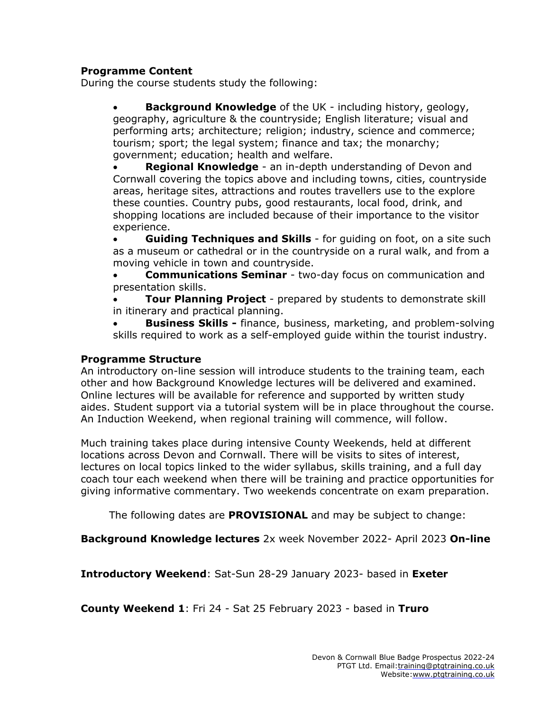#### **Programme Content**

During the course students study the following:

• **Background Knowledge** of the UK - including history, geology, geography, agriculture & the countryside; English literature; visual and performing arts; architecture; religion; industry, science and commerce; tourism; sport; the legal system; finance and tax; the monarchy; government; education; health and welfare.

• **Regional Knowledge** - an in-depth understanding of Devon and Cornwall covering the topics above and including towns, cities, countryside areas, heritage sites, attractions and routes travellers use to the explore these counties. Country pubs, good restaurants, local food, drink, and shopping locations are included because of their importance to the visitor experience.

• **Guiding Techniques and Skills** - for guiding on foot, on a site such as a museum or cathedral or in the countryside on a rural walk, and from a moving vehicle in town and countryside.

• **Communications Seminar** - two-day focus on communication and presentation skills.

• **Tour Planning Project** - prepared by students to demonstrate skill in itinerary and practical planning.

• **Business Skills -** finance, business, marketing, and problem-solving skills required to work as a self-employed guide within the tourist industry.

#### **Programme Structure**

An introductory on-line session will introduce students to the training team, each other and how Background Knowledge lectures will be delivered and examined. Online lectures will be available for reference and supported by written study aides. Student support via a tutorial system will be in place throughout the course. An Induction Weekend, when regional training will commence, will follow.

Much training takes place during intensive County Weekends, held at different locations across Devon and Cornwall. There will be visits to sites of interest, lectures on local topics linked to the wider syllabus, skills training, and a full day coach tour each weekend when there will be training and practice opportunities for giving informative commentary. Two weekends concentrate on exam preparation.

The following dates are **PROVISIONAL** and may be subject to change:

**Background Knowledge lectures** 2x week November 2022- April 2023 **On-line**

**Introductory Weekend**: Sat-Sun 28-29 January 2023- based in **Exeter**

**County Weekend 1**: Fri 24 - Sat 25 February 2023 - based in **Truro**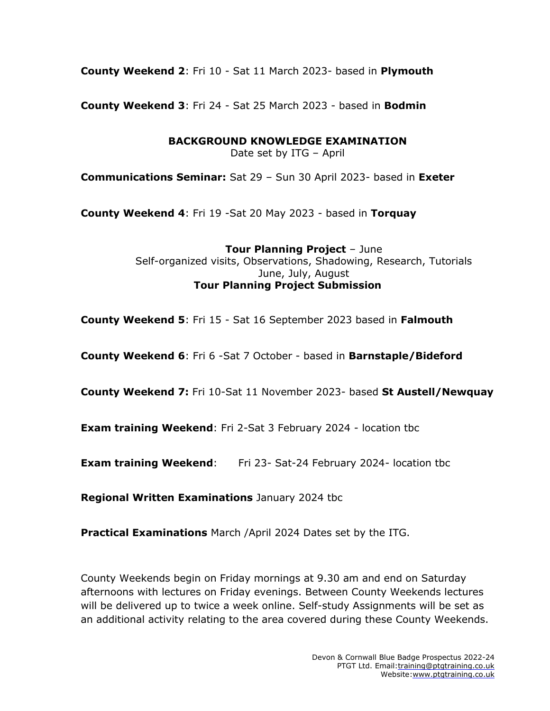**County Weekend 2**: Fri 10 - Sat 11 March 2023- based in **Plymouth**

**County Weekend 3**: Fri 24 - Sat 25 March 2023 - based in **Bodmin**

**BACKGROUND KNOWLEDGE EXAMINATION**

Date set by ITG – April

**Communications Seminar:** Sat 29 – Sun 30 April 2023- based in **Exeter**

**County Weekend 4**: Fri 19 -Sat 20 May 2023 - based in **Torquay**

**Tour Planning Project** – June Self-organized visits, Observations, Shadowing, Research, Tutorials June, July, August **Tour Planning Project Submission**

**County Weekend 5**: Fri 15 - Sat 16 September 2023 based in **Falmouth**

**County Weekend 6**: Fri 6 -Sat 7 October - based in **Barnstaple/Bideford**

**County Weekend 7:** Fri 10-Sat 11 November 2023- based **St Austell/Newquay**

**Exam training Weekend**: Fri 2-Sat 3 February 2024 - location tbc

**Exam training Weekend**: Fri 23- Sat-24 February 2024- location tbc

**Regional Written Examinations** January 2024 tbc

**Practical Examinations** March /April 2024 Dates set by the ITG.

County Weekends begin on Friday mornings at 9.30 am and end on Saturday afternoons with lectures on Friday evenings. Between County Weekends lectures will be delivered up to twice a week online. Self-study Assignments will be set as an additional activity relating to the area covered during these County Weekends.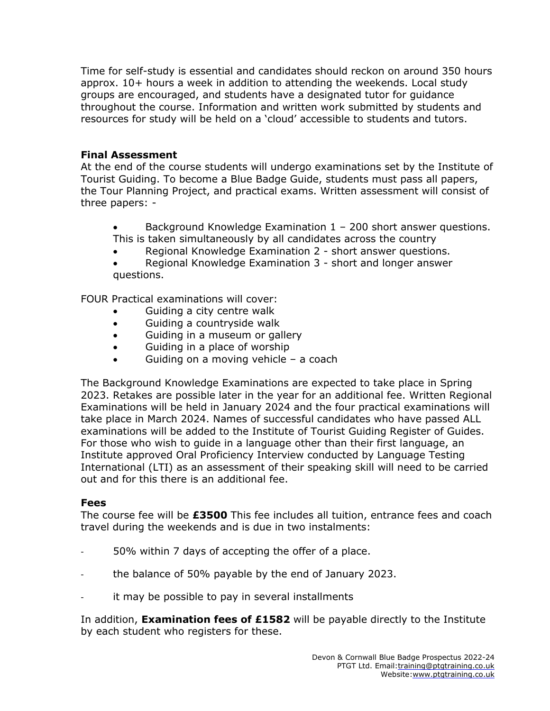Time for self-study is essential and candidates should reckon on around 350 hours approx. 10+ hours a week in addition to attending the weekends. Local study groups are encouraged, and students have a designated tutor for guidance throughout the course. Information and written work submitted by students and resources for study will be held on a 'cloud' accessible to students and tutors.

#### **Final Assessment**

At the end of the course students will undergo examinations set by the Institute of Tourist Guiding. To become a Blue Badge Guide, students must pass all papers, the Tour Planning Project, and practical exams. Written assessment will consist of three papers: -

- Background Knowledge Examination 1 200 short answer questions. This is taken simultaneously by all candidates across the country
- Regional Knowledge Examination 2 short answer questions.

• Regional Knowledge Examination 3 - short and longer answer questions.

FOUR Practical examinations will cover:

- Guiding a city centre walk
- Guiding a countryside walk
- Guiding in a museum or gallery
- Guiding in a place of worship
- Guiding on a moving vehicle  $-$  a coach

The Background Knowledge Examinations are expected to take place in Spring 2023. Retakes are possible later in the year for an additional fee. Written Regional Examinations will be held in January 2024 and the four practical examinations will take place in March 2024. Names of successful candidates who have passed ALL examinations will be added to the Institute of Tourist Guiding Register of Guides. For those who wish to guide in a language other than their first language, an Institute approved Oral Proficiency Interview conducted by Language Testing International (LTI) as an assessment of their speaking skill will need to be carried out and for this there is an additional fee.

#### **Fees**

The course fee will be **£3500** This fee includes all tuition, entrance fees and coach travel during the weekends and is due in two instalments:

- 50% within 7 days of accepting the offer of a place.
- the balance of 50% payable by the end of January 2023.
- it may be possible to pay in several installments

In addition, **Examination fees of £1582** will be payable directly to the Institute by each student who registers for these.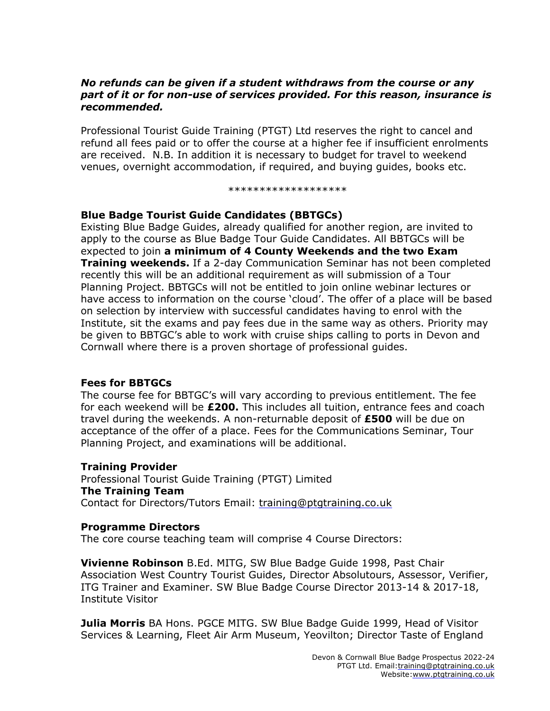#### *No refunds can be given if a student withdraws from the course or any part of it or for non-use of services provided. For this reason, insurance is recommended.*

Professional Tourist Guide Training (PTGT) Ltd reserves the right to cancel and refund all fees paid or to offer the course at a higher fee if insufficient enrolments are received. N.B. In addition it is necessary to budget for travel to weekend venues, overnight accommodation, if required, and buying guides, books etc.

\*\*\*\*\*\*\*\*\*\*\*\*\*\*\*\*\*\*\*

#### **Blue Badge Tourist Guide Candidates (BBTGCs)**

Existing Blue Badge Guides, already qualified for another region, are invited to apply to the course as Blue Badge Tour Guide Candidates. All BBTGCs will be expected to join **a minimum of 4 County Weekends and the two Exam Training weekends.** If a 2-day Communication Seminar has not been completed recently this will be an additional requirement as will submission of a Tour Planning Project. BBTGCs will not be entitled to join online webinar lectures or have access to information on the course 'cloud'. The offer of a place will be based on selection by interview with successful candidates having to enrol with the Institute, sit the exams and pay fees due in the same way as others. Priority may be given to BBTGC's able to work with cruise ships calling to ports in Devon and Cornwall where there is a proven shortage of professional guides.

#### **Fees for BBTGCs**

The course fee for BBTGC's will vary according to previous entitlement. The fee for each weekend will be **£200.** This includes all tuition, entrance fees and coach travel during the weekends. A non-returnable deposit of **£500** will be due on acceptance of the offer of a place. Fees for the Communications Seminar, Tour Planning Project, and examinations will be additional.

#### **Training Provider**

Professional Tourist Guide Training (PTGT) Limited **The Training Team** Contact for Directors/Tutors Email: [training@ptgtraining.co.uk](mailto:training@ptgtraining.co.uk)

#### **Programme Directors**

The core course teaching team will comprise 4 Course Directors:

**Vivienne Robinson** B.Ed. MITG, SW Blue Badge Guide 1998, Past Chair Association West Country Tourist Guides, Director Absolutours, Assessor, Verifier, ITG Trainer and Examiner. SW Blue Badge Course Director 2013-14 & 2017-18, Institute Visitor

**Julia Morris** BA Hons. PGCE MITG. SW Blue Badge Guide 1999, Head of Visitor Services & Learning, Fleet Air Arm Museum, Yeovilton; Director Taste of England